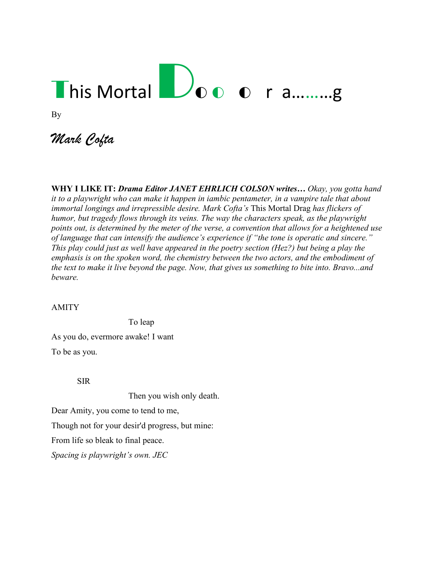# This Mortal Doo or a.........g

By

*Mark Cofta*

**WHY I LIKE IT:** *Drama Editor JANET EHRLICH COLSON writes… Okay, you gotta hand it to a playwright who can make it happen in iambic pentameter, in a vampire tale that about immortal longings and irrepressible desire. Mark Cofta's* This Mortal Drag *has flickers of humor, but tragedy flows through its veins. The way the characters speak, as the playwright points out, is determined by the meter of the verse, a convention that allows for a heightened use of language that can intensify the audience's experience if "the tone is operatic and sincere." This play could just as well have appeared in the poetry section (Hez?) but being a play the emphasis is on the spoken word, the chemistry between the two actors, and the embodiment of the text to make it live beyond the page. Now, that gives us something to bite into. Bravo...and beware.* 

## AMITY

To leap

As you do, evermore awake! I want

To be as you.

SIR

Then you wish only death.

Dear Amity, you come to tend to me,

Though not for your desir'd progress, but mine:

From life so bleak to final peace.

*Spacing is playwright's own. JEC*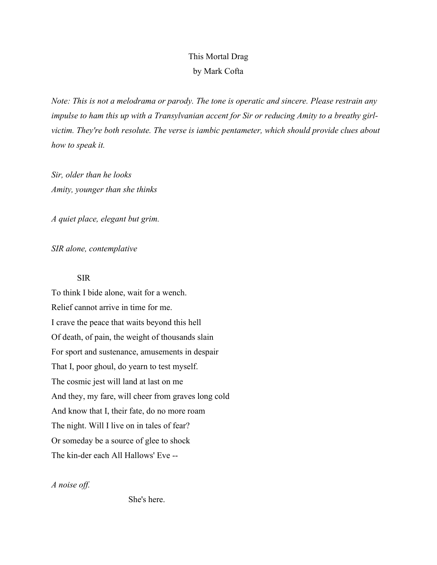## This Mortal Drag by Mark Cofta

*Note: This is not a melodrama or parody. The tone is operatic and sincere. Please restrain any impulse to ham this up with a Transylvanian accent for Sir or reducing Amity to a breathy girlvictim. They're both resolute. The verse is iambic pentameter, which should provide clues about how to speak it.*

*Sir, older than he looks Amity, younger than she thinks* 

*A quiet place, elegant but grim.* 

*SIR alone, contemplative* 

#### SIR

To think I bide alone, wait for a wench. Relief cannot arrive in time for me. I crave the peace that waits beyond this hell Of death, of pain, the weight of thousands slain For sport and sustenance, amusements in despair That I, poor ghoul, do yearn to test myself. The cosmic jest will land at last on me And they, my fare, will cheer from graves long cold And know that I, their fate, do no more roam The night. Will I live on in tales of fear? Or someday be a source of glee to shock The kin-der each All Hallows' Eve --

*A noise off.* 

She's here.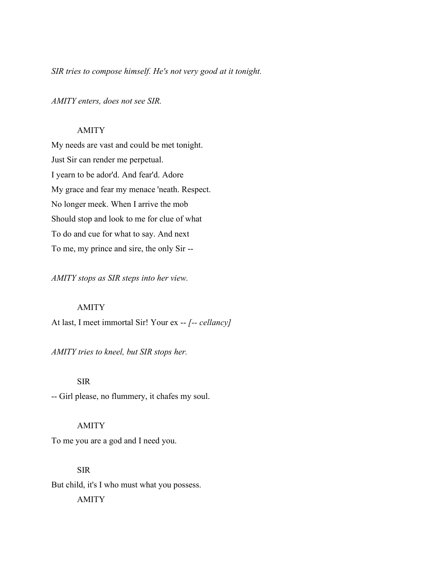*SIR tries to compose himself. He's not very good at it tonight.* 

*AMITY enters, does not see SIR.* 

#### AMITY

My needs are vast and could be met tonight. Just Sir can render me perpetual. I yearn to be ador'd. And fear'd. Adore My grace and fear my menace 'neath. Respect. No longer meek. When I arrive the mob Should stop and look to me for clue of what To do and cue for what to say. And next To me, my prince and sire, the only Sir --

*AMITY stops as SIR steps into her view.* 

## AMITY

At last, I meet immortal Sir! Your ex -- *[-- cellancy]*

*AMITY tries to kneel, but SIR stops her.* 

## SIR

-- Girl please, no flummery, it chafes my soul.

## AMITY

To me you are a god and I need you.

#### SIR

But child, it's I who must what you possess.

AMITY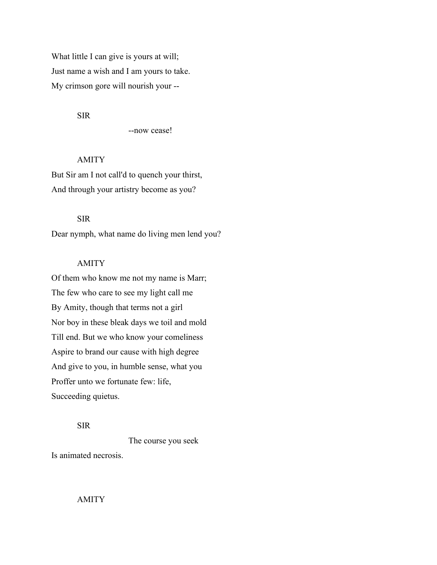What little I can give is yours at will; Just name a wish and I am yours to take. My crimson gore will nourish your --

SIR

--now cease!

## AMITY

But Sir am I not call'd to quench your thirst, And through your artistry become as you?

## SIR

Dear nymph, what name do living men lend you?

## AMITY

Of them who know me not my name is Marr; The few who care to see my light call me By Amity, though that terms not a girl Nor boy in these bleak days we toil and mold Till end. But we who know your comeliness Aspire to brand our cause with high degree And give to you, in humble sense, what you Proffer unto we fortunate few: life, Succeeding quietus.

## SIR

The course you seek

Is animated necrosis.

## AMITY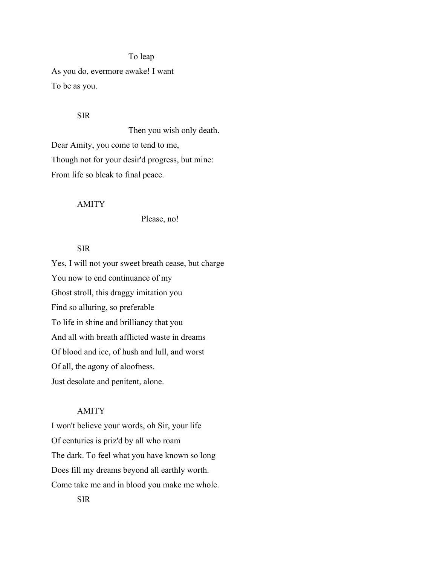#### To leap

As you do, evermore awake! I want To be as you.

#### SIR

Then you wish only death. Dear Amity, you come to tend to me, Though not for your desir'd progress, but mine: From life so bleak to final peace.

#### AMITY

#### Please, no!

## SIR

Yes, I will not your sweet breath cease, but charge You now to end continuance of my Ghost stroll, this draggy imitation you Find so alluring, so preferable To life in shine and brilliancy that you And all with breath afflicted waste in dreams Of blood and ice, of hush and lull, and worst Of all, the agony of aloofness. Just desolate and penitent, alone.

#### AMITY

I won't believe your words, oh Sir, your life Of centuries is priz'd by all who roam The dark. To feel what you have known so long Does fill my dreams beyond all earthly worth. Come take me and in blood you make me whole.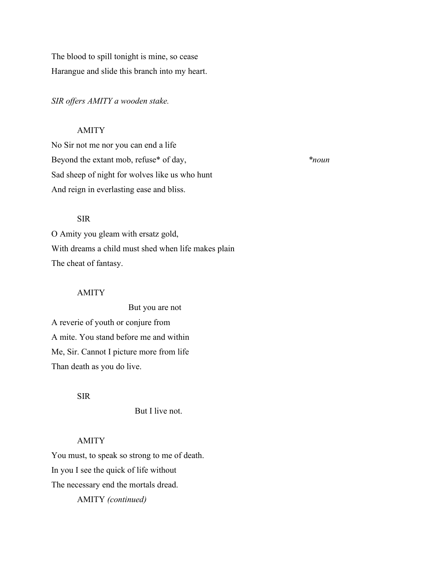The blood to spill tonight is mine, so cease Harangue and slide this branch into my heart.

*SIR offers AMITY a wooden stake.* 

## AMITY

No Sir not me nor you can end a life Beyond the extant mob, refuse\* of day, *\*noun* Sad sheep of night for wolves like us who hunt And reign in everlasting ease and bliss.

#### SIR

O Amity you gleam with ersatz gold, With dreams a child must shed when life makes plain The cheat of fantasy.

#### AMITY

But you are not

A reverie of youth or conjure from A mite. You stand before me and within Me, Sir. Cannot I picture more from life Than death as you do live.

## SIR

But I live not.

## AMITY

You must, to speak so strong to me of death. In you I see the quick of life without The necessary end the mortals dread.

AMITY *(continued)*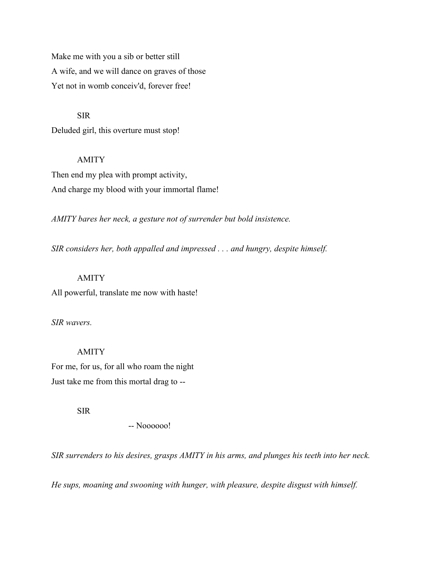Make me with you a sib or better still A wife, and we will dance on graves of those Yet not in womb conceiv'd, forever free!

#### SIR

Deluded girl, this overture must stop!

## AMITY

Then end my plea with prompt activity, And charge my blood with your immortal flame!

*AMITY bares her neck, a gesture not of surrender but bold insistence.* 

*SIR considers her, both appalled and impressed . . . and hungry, despite himself.* 

#### AMITY

All powerful, translate me now with haste!

## *SIR wavers.*

# AMITY For me, for us, for all who roam the night Just take me from this mortal drag to --

#### SIR

-- Noooooo!

*SIR surrenders to his desires, grasps AMITY in his arms, and plunges his teeth into her neck.* 

*He sups, moaning and swooning with hunger, with pleasure, despite disgust with himself.*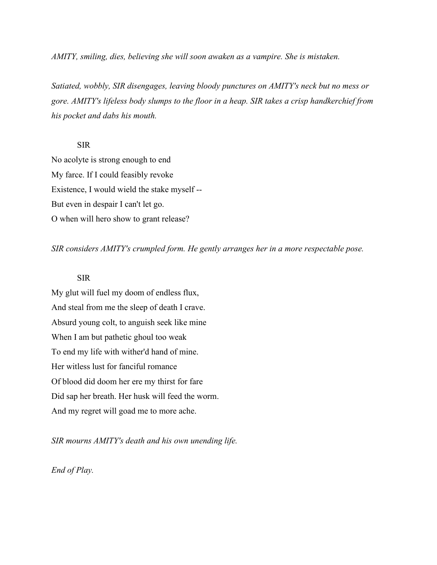*AMITY, smiling, dies, believing she will soon awaken as a vampire. She is mistaken.* 

*Satiated, wobbly, SIR disengages, leaving bloody punctures on AMITY's neck but no mess or gore. AMITY's lifeless body slumps to the floor in a heap. SIR takes a crisp handkerchief from his pocket and dabs his mouth.* 

#### SIR

No acolyte is strong enough to end My farce. If I could feasibly revoke Existence, I would wield the stake myself -- But even in despair I can't let go. O when will hero show to grant release?

*SIR considers AMITY's crumpled form. He gently arranges her in a more respectable pose.* 

#### SIR

My glut will fuel my doom of endless flux, And steal from me the sleep of death I crave. Absurd young colt, to anguish seek like mine When I am but pathetic ghoul too weak To end my life with wither'd hand of mine. Her witless lust for fanciful romance Of blood did doom her ere my thirst for fare Did sap her breath. Her husk will feed the worm. And my regret will goad me to more ache.

*SIR mourns AMITY's death and his own unending life.* 

*End of Play.*